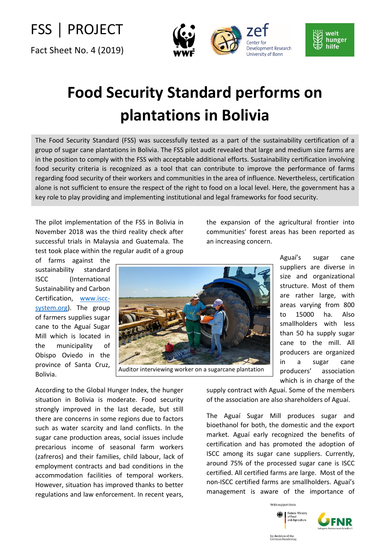FSS │ PROJECT

Fact Sheet No. 4 (2019)



## **Food Security Standard performs on plantations in Bolivia**

The Food Security Standard (FSS) was successfully tested as a part of the sustainability certification of a group of sugar cane plantations in Bolivia. The FSS pilot audit revealed that large and medium size farms are in the position to comply with the FSS with acceptable additional efforts. Sustainability certification involving food security criteria is recognized as a tool that can contribute to improve the performance of farms regarding food security of their workers and communities in the area of influence. Nevertheless, certification alone is not sufficient to ensure the respect of the right to food on a local level. Here, the government has a key role to play providing and implementing institutional and legal frameworks for food security.

The pilot implementation of the FSS in Bolivia in November 2018 was the third reality check after successful trials in Malaysia and Guatemala. The test took place within the regular audit of a group

According to the Global Hunger Index, the hunger situation in Bolivia is moderate. Food security strongly improved in the last decade, but still there are concerns in some regions due to factors such as water scarcity and land conflicts. In the sugar cane production areas, social issues include precarious income of seasonal farm workers (zafreros) and their families, child labour, lack of employment contracts and bad conditions in the accommodation facilities of temporal workers. However, situation has improved thanks to better regulations and law enforcement. In recent years,

of farms against the sustainability standard ISCC (International Sustainability and Carbon Certification, [www.iscc](http://www.iscc-system.org/)[system.org\)](http://www.iscc-system.org/). The group of farmers supplies sugar cane to the Aguaí Sugar Mill which is located in the municipality of Obispo Oviedo in the province of Santa Cruz, Bolivia.

the expansion of the agricultural frontier into communities' forest areas has been reported as an increasing concern.



Aguaí's sugar cane suppliers are diverse in size and organizational structure. Most of them are rather large, with areas varying from 800 to 15000 ha. Also smallholders with less than 50 ha supply sugar cane to the mill. All producers are organized in a sugar cane producers' association which is in charge of the

welt hunger hilfe

supply contract with Aguaí. Some of the members of the association are also shareholders of Aguaí.

The Aguaí Sugar Mill produces sugar and bioethanol for both, the domestic and the export market. Aguaí early recognized the benefits of certification and has promoted the adoption of ISCC among its sugar cane suppliers. Currently, around 75% of the processed sugar cane is ISCC certified. All certified farms are large. Most of the non-ISCC certified farms are smallholders. Aguaí's management is aware of the importance of

> With support from deral Ministry

of Food<br>and Agricultur